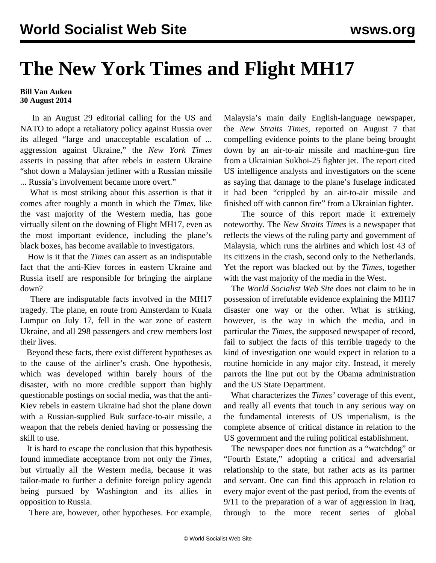## **The New York Times and Flight MH17**

## **Bill Van Auken 30 August 2014**

 In an August 29 editorial calling for the US and NATO to adopt a retaliatory policy against Russia over its alleged "large and unacceptable escalation of ... aggression against Ukraine," the *New York Times* asserts in passing that after rebels in eastern Ukraine "shot down a Malaysian jetliner with a Russian missile ... Russia's involvement became more overt."

 What is most striking about this assertion is that it comes after roughly a month in which the *Times*, like the vast majority of the Western media, has gone virtually silent on the downing of Flight MH17, even as the most important evidence, including the plane's black boxes, has become available to investigators.

 How is it that the *Times* can assert as an indisputable fact that the anti-Kiev forces in eastern Ukraine and Russia itself are responsible for bringing the airplane down?

 There are indisputable facts involved in the MH17 tragedy. The plane, en route from Amsterdam to Kuala Lumpur on July 17, fell in the war zone of eastern Ukraine, and all 298 passengers and crew members lost their lives.

 Beyond these facts, there exist different hypotheses as to the cause of the airliner's crash. One hypothesis, which was developed within barely hours of the disaster, with no more credible support than highly questionable postings on social media, was that the anti-Kiev rebels in eastern Ukraine had shot the plane down with a Russian-supplied Buk surface-to-air missile, a weapon that the rebels denied having or possessing the skill to use.

 It is hard to escape the conclusion that this hypothesis found immediate acceptance from not only the *Times,* but virtually all the Western media, because it was tailor-made to further a definite foreign policy agenda being pursued by Washington and its allies in opposition to Russia.

There are, however, other hypotheses. For example,

Malaysia's main daily English-language newspaper, the *New Straits Times*, [reported](http://www.nst.com.my/node/20925) on August 7 that compelling evidence points to the plane being brought down by an air-to-air missile and machine-gun fire from a Ukrainian Sukhoi-25 fighter jet. The report cited US intelligence analysts and investigators on the scene as saying that damage to the plane's fuselage indicated it had been "crippled by an air-to-air missile and finished off with cannon fire" from a Ukrainian fighter.

 The source of this report made it extremely noteworthy. The *New Straits Times* is a newspaper that reflects the views of the ruling party and government of Malaysia, which runs the airlines and which lost 43 of its citizens in the crash, second only to the Netherlands. Yet the report was blacked out by the *Times,* together with the vast majority of the media in the West.

 The *World Socialist Web Site* does not claim to be in possession of irrefutable evidence explaining the MH17 disaster one way or the other. What is striking, however, is the way in which the media, and in particular the *Times*, the supposed newspaper of record, fail to subject the facts of this terrible tragedy to the kind of investigation one would expect in relation to a routine homicide in any major city. Instead, it merely parrots the line put out by the Obama administration and the US State Department.

 What characterizes the *Times'* coverage of this event, and really all events that touch in any serious way on the fundamental interests of US imperialism, is the complete absence of critical distance in relation to the US government and the ruling political establishment.

 The newspaper does not function as a "watchdog" or "Fourth Estate," adopting a critical and adversarial relationship to the state, but rather acts as its partner and servant. One can find this approach in relation to every major event of the past period, from the events of 9/11 to the preparation of a war of aggression in Iraq, through to the more recent series of global